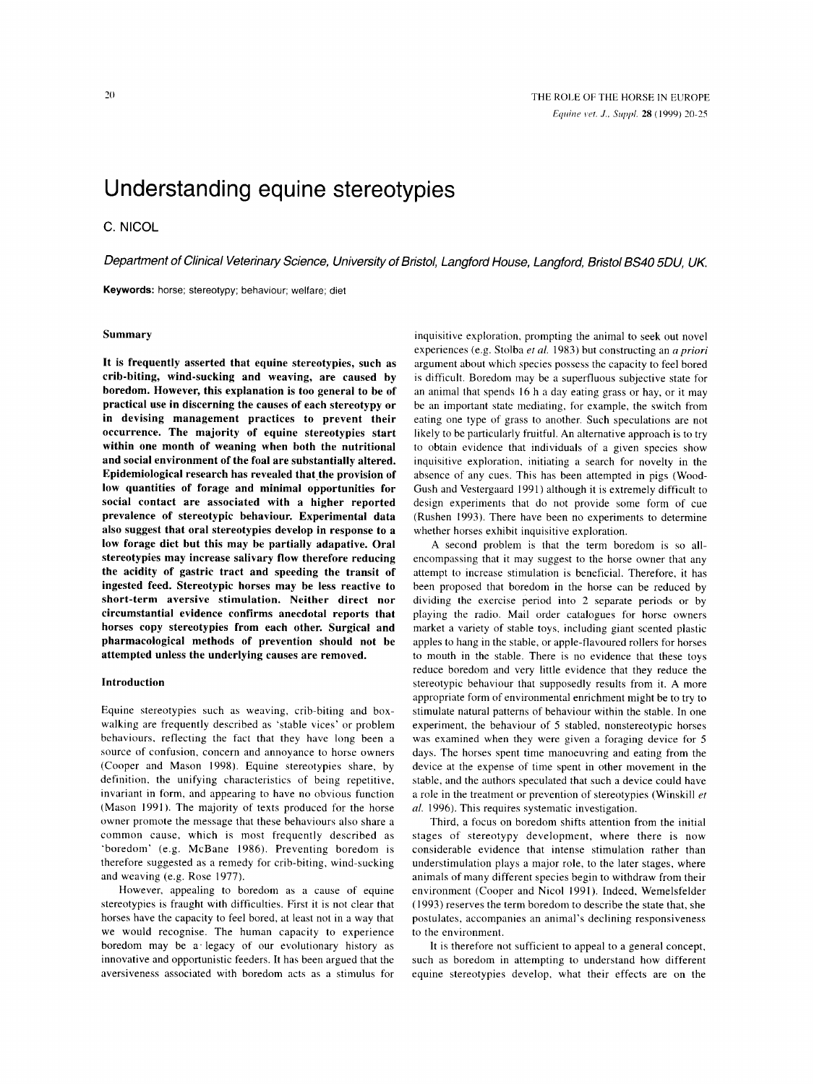# Understanding equine stereotypies

## C. NICOL

*Department of Clinical Veterinary Science, University of Bristol, Langford House, Langford, Bristol BS40 5DU, UK.* 

**Keywords:** horse; stereotypy; behaviour; welfare; diet

#### **Summary**

**It is frequently asserted that equine stereotypies, such as crib-biting, wind-sucking and weaving, are caused by boredom. However, this explanation is too general to be of practical use in discerning the causes of each stereotypy or in devising management practices to prevent their occurrence. The majority of equine stereotypies start within one month of weaning when both the nutritional and social environment of the foal are substantially altered. Epidemiological research has revealed that,the provision of low quantities of forage and minimal opportunities for social contact are associated with a higher reported prevalence of stereotypic behaviour. Experimental data also suggest that oral stereotypies develop in response to a low forage diet but this may be partially adapative. Oral stereotypies may increase salivary flow therefore reducing the acidity of gastric tract and speeding the transit of ingested feed. Stereotypic horses may be less reactive to short-term aversive stimulation. Neither direct nor circumstantial evidence confirms anecdotal reports that horses copy stereotypies from each other. Surgical and pharmacological methods of prevention should not be attempted unless the underlying causes are removed.** 

#### **Introduction**

Equine stereotypies such as weaving, crib-biting and boxwalking are frequently described as 'stable vices' or problem behaviours. reflecting the fact that they have long been a source of confusion, concern and annoyance to horse owners (Cooper and Mason 1998). Equine stereotypies share, by definition, the unifying characteristics of being repetitive, invariant in form, and appearing to have no obvious function (Mason 1991). The majority of texts produced for the horse owner promote the message that these behaviours also share a common cause, which is most frequently described as 'boredom' (e.g. McBane 1986). Preventing boredom is therefore suggested as a remedy for crib-biting, wind-sucking and weaving (e.g. Rose 1977).

However, appealing to boredom as a cause of equine stereotypies is fraught with difficulties. First it is not clear that horses have the capacity to feel bored, at least not in a way that **we** would recognise. The human capacity to experience boredom may be a- legacy of our evolutionary history as innovative and opportunistic feeders. It has been argued that the aversiveness associated with boredom acts as a stimulus for

inquisitive exploration, prompting the animal to seek out novel experiences (e.g. Stolba et al. 1983) but constructing an a priori argument about which species possess the capacity to feel bored is difficult. Boredom may be a superfluous subjective state for an animal that spends 16 h a day eating grass or hay, or it may be an important state mediating, for example, the switch from eating one type of grass to another. Such speculations are not likely to be particularly fruitful. An alternative approach is to try to obtain evidence that individuals of a given species show inquisitive exploration, initiating a search for novelty in the absence of any cues. This has been attempted in pigs (Wood-Gush and Vestergaard 1991) although it is extremely difficult to design experiments that do not provide some form of cue (Rushen 1993). There have been no experiments to determine whether horses exhibit inquisitive exploration.

A second problem is that the term boredom is so allencompassing that it may suggest to the horse owner that any attempt to increase stimulation is beneficial. Therefore, it has been proposed that boredom in the horse can be reduced by dividing the exercise period into 2 separate periods or by playing the radio. Mail order catalogues for horse owners market a variety of stable toys, including giant scented plastic apples to hang in the stable, or apple-flavoured rollers for horses to mouth in the stable. There is no evidence that these toys reduce boredom and very little evidence that they reduce the stereotypic behaviour that supposedly results from it. **A** more appropriate form of environmental enrichment might be to try to stimulate natural patterns of behaviour within the stable. In one experiment, the behaviour of *5* stabled, nonstereotypic horses was examined when they were given a foraging device for 5 days. The horses spent time manoeuvring and eating from the device at the expense of time spent in other movement in the stable, and the authors speculated that such a device could have a role in the treatment or prevention of stereotypies (Winskill *ef a/.* 1996). This requires systematic investigation.

Third, a focus on boredom shifts attention from the initial stages of stereotypy development, where there is now considerable evidence that intense stimulation rather than understimulation plays a major role, to the later stages, where animals of many different species begin to withdraw from their environment (Cooper and Nicol 1991). Indeed, Wemelsfelder (1993) reserves the term boredom to describe the state that, she postulates, accompanies an animal's declining responsiveness to the environment.

It is therefore not sufficient to appeal to a general concept, such as boredom in attempting to understand how different equine stereotypies develop, what their effects are on the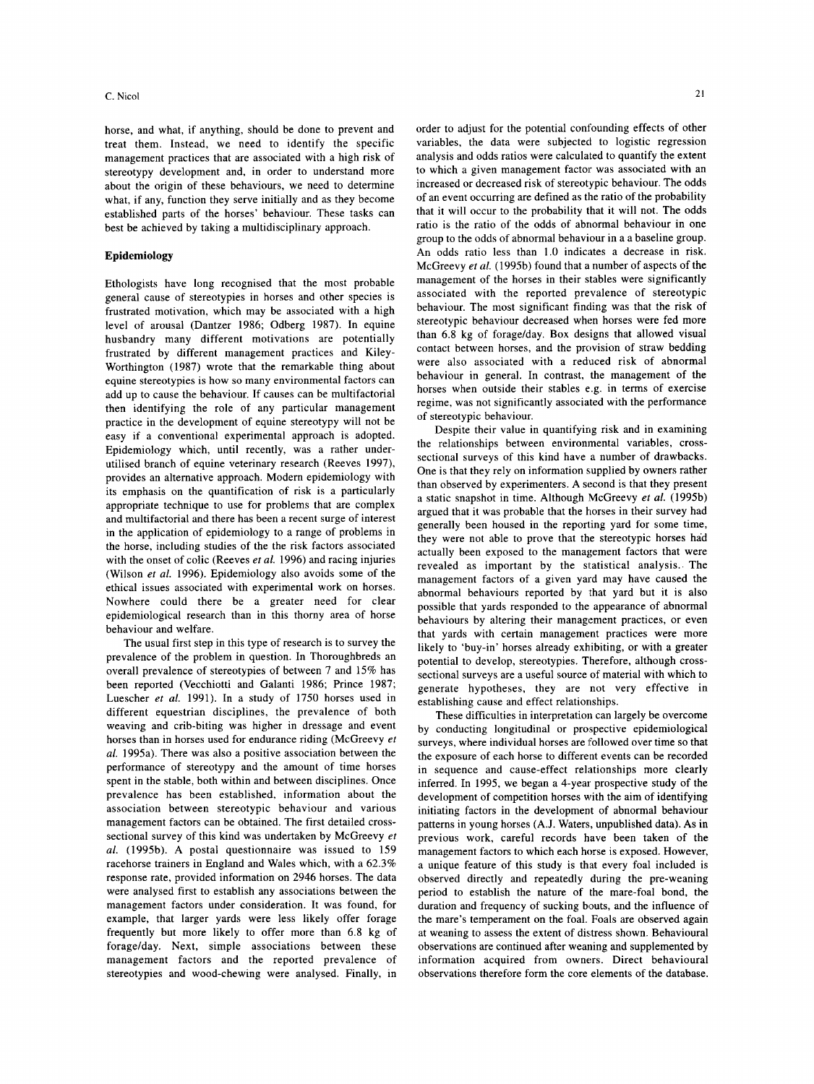horse, and what, if anything, should be done to prevent and treat them. Instead, we need to identify the specific management practices that are associated with **a** high risk of stereotypy development and, in order to understand more about the origin of these behaviours, we need to determine what, if any, function they serve initially and as they become established parts of the horses' behaviour. These tasks can best be achieved by taking **a** multidisciplinary approach.

## **Epidemiology**

Ethologists have long recognised that the most probable general cause of stereotypies in horses and other species is frustrated motivation, which may be associated with **a** high level of arousal (Dantzer 1986; Odberg 1987). In equine husbandry many different motivations are potentially frustrated by different management practices and Kiley-Worthington (1987) wrote that the remarkable thing about equine stereotypies is how *so* many environmental factors can add up to cause the behaviour. If causes can be multifactorial then identifying the role of any particular management practice in the development of equine stereotypy will not be easy if **a** conventional experimental approach is adopted. Epidemiology which, until recently, was **a** rather underutilised branch of equine veterinary research (Reeves 1997), provides an alternative approach. Modem epidemiology with its emphasis on the quantification of risk is **a** particularly appropriate technique to use for problems that are complex and multifactorial and there has been **a** recent surge of interest in the application of epidemiology to **a** range of problems in the horse, including studies of the the risk factors associated with the onset of colic (Reeves *et al.* 1996) and racing injuries (Wilson *et al.* 1996). Epidemiology also avoids some of the ethical issues associated with experimental work on horses. Nowhere could there be **a** greater need for clear epidemiological research than in this thorny area of horse behaviour and welfare.

The usual first step in this type of research is to survey the prevalence of the problem in question. In Thoroughbreds an overall prevalence of stereotypies of between 7 and 15% has been reported (Vecchiotti and Galanti 1986; Prince 1987; Luescher *et al.* 1991). In **a** study of 1750 horses used in different equestrian disciplines, the prevalence of both weaving and crib-biting was higher in dressage and event horses than in horses used for endurance riding (McGreevy *et*  al. 1995a). There was also a positive association between the performance of stereotypy and the amount of time horses spent in the stable, both within and between disciplines. Once prevalence has been established, information about the association between stereotypic behaviour and various management factors can be obtained. The first detailed crosssectional survey of this kind was undertaken by McGreevy *et al.* (1995b). A postal questionnaire was issued to 159 racehorse trainers in England and Wales which, with **a** 62.3% response rate, provided information on 2946 horses. The data were analysed first to establish any associations between the management factors under consideration. It was found, for example, that larger yards were less likely offer forage frequently but more likely to offer more than 6.8 kg of foragelday. Next, simple associations between these management factors and the reported prevalence of stereotypies and wood-chewing were analysed. Finally, in

order to adjust for the potential confounding effects of other variables, the data were subjected to logistic regression analysis and odds ratios were calculated to quantify the extent to which **a** given management factor was associated with an increased or decreased risk of stereotypic behaviour. The odds of an event occurring are defined as the ratio of the probability that it will occur to the probability that it will not. The odds ratio is the ratio of the odds of abnormal behaviour in one group to the odds of abnormal behaviour in **a a** baseline group. An odds ratio less than 1.0 indicates **a** decrease in risk. McGreevy *et al.* (1995b) found that a number of aspects of the management of the horses in their stables were significantly associated with the reported prevalence of stereotypic behaviour. The most significant finding was that the risk of stereotypic behaviour decreased when horses were fed more than 6.8 kg of forage/day. Box designs that allowed visual contact between horses, and the provision of straw bedding were also associated with **a** reduced risk of abnormal behaviour in general. In contrast, the management of the horses when outside their stables e.g. in terms of exercise regime, was not significantly associated with the performance of stereotypic behaviour.

Despite their value in quantifying risk and in examining the relationships between environmental variables, crosssectional surveys of this kind have **a** number of drawbacks. One is that they rely on information supplied by owners rather than observed by experimenters. A second is that they present **a** static snapshot in time. Although McGreevy *et al.* (1995b) argued that it was probable that the horses in their survey had generally been housed in the reporting yard for some time, they were not able to prove that the stereotypic horses had actually been exposed to the management factors that were revealed as important by the statistical analysis.. The management factors of **a** given yard may have caused the abnormal behaviours reported by that yard but it is **also**  possible that yards responded to the appearance of abnormal behaviours by altering their management practices, or even that yards with certain management practices were more likely to 'buy-in' horses already exhibiting, or with **a** greater potential to develop, stereotypies. Therefore, although crosssectional surveys are **a** useful source of material with which to generate hypotheses, they are not very effective in establishing cause and effect relationships.

These difficulties in interpretation can largely be overcome by conducting longitudinal or prospective epidemiological surveys, where individual horses are followed over time so that the exposure of each horse to different events can be recorded in sequence and cause-effect relationships more clearly inferred. In 1995, we began **a** 4-year prospective study of the development of competition horses with the aim of identifying initiating factors in the development of abnormal behaviour patterns in young horses (A.J. Waters, unpublished data). As in previous work, careful records have been taken of the management factors to which each horse is exposed. However, **a** unique feature of this study is that every foal included is observed directly and repeatedly during the pre-weaning period to establish the nature of the mare-foal bond, the duration and frequency of sucking bouts, and the influence of the mare's temperament on the foal. Foals are observed again at weaning to assess the extent of distress shown. Behavioural observations are continued after weaning and supplemented by information acquired from owners. Direct behavioural observations therefore form the core elements of the database.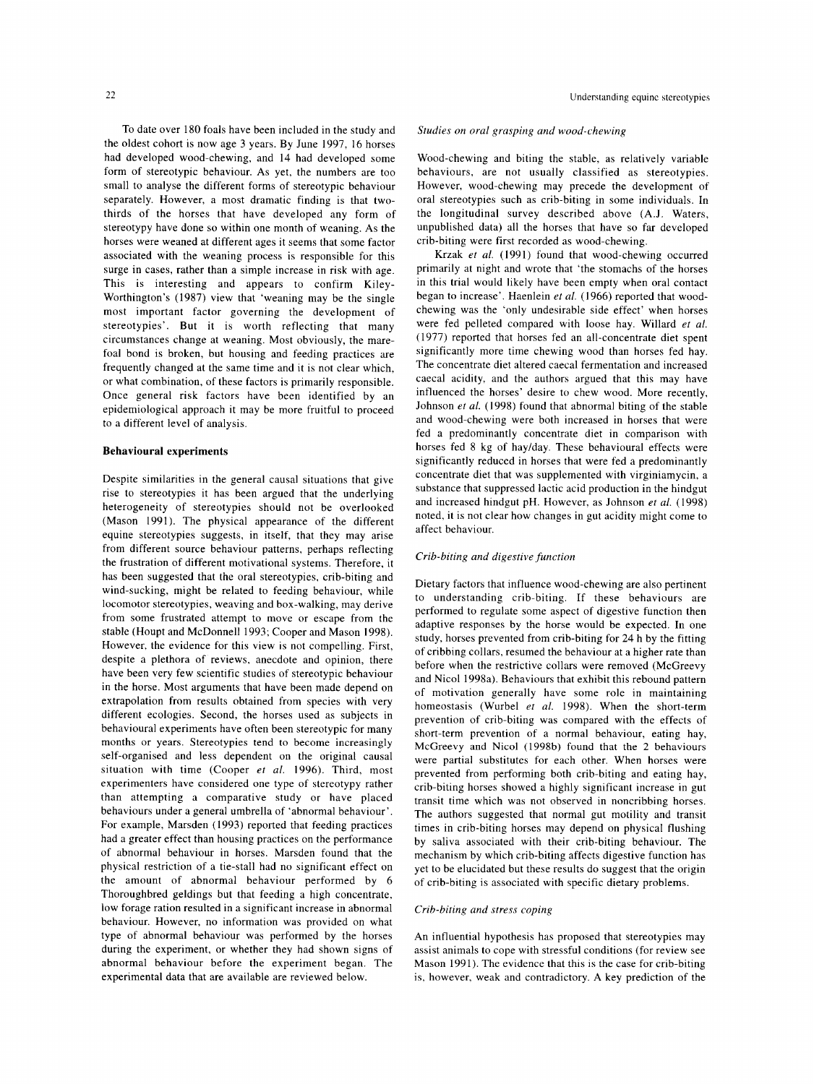To date over 180 foals have been included in the study and the oldest cohort is now age 3 years. By June 1997, 16 horses had developed wood-chewing, and 14 had developed some form of stereotypic behaviour. As yet, the numbers are too small to analyse the different forms of stereotypic behaviour separately. However, a most dramatic finding is that twothirds of the horses that have developed any form of stereotypy have done so within one month of weaning. As the horses were weaned at different ages it seems that some factor associated with the weaning process is responsible for this surge in cases, rather than a simple increase in risk with age. This **is** interesting and appears to confirm Kiley-Worthington's (1987) view that 'weaning may be the single most important factor governing the development of stereotypies'. But it is worth reflecting that many circumstances change at weaning. Most obviously, the marefoal bond is broken, but housing and feeding practices are frequently changed at the same time and it is not clear which, or what combination, of these factors is primarily responsible. Once general risk factors have been identified by an epidemiological approach it may be more fruitful to proceed to a different level of analysis.

### **Behavioural experiments**

Despite similarities in the general causal situations that give rise to stereotypies it has been argued that the underlying heterogeneity of stereotypies should not be overlooked (Mason 1991). The physical appearance of the different equine stereotypies suggests, in itself, that they may arise from different source behaviour patterns, perhaps reflecting the frustration of different motivational systems. Therefore, it has been suggested that the oral stereotypies, crib-biting and wind-sucking, might be related to feeding behaviour, while locomotor stereotypies, weaving and box-walking, may derive from some frustrated attempt to move or escape from the stable (Houpt and McDonnell 1993; Cooper and Mason 1998). However, the evidence for this view is not compelling. First, despite a plethora of reviews, anecdote and opinion, there have been very few scientific studies of stereotypic behaviour in the horse. Most arguments that have been made depend on extrapolation from results obtained from species with very different ecologies. Second, the horses used as subjects in behavioural experiments have often been stereotypic for many months or years. Stereotypies tend to become increasingly self-organised and less dependent on the original causal situation with time (Cooper *et al.* 1996). Third, most experimenters have considered one type of stereotypy rather than attempting a comparative study or have placed behaviours under a general umbrella of 'abnormal behaviour'. For example, Marsden (1993) reported that feeding practices had a greater effect than housing practices on the performance of abnormal behaviour in horses. Marsden found that the physical restriction of a tie-stall had no significant effect on the amount of abnormal behaviour performed by 6 Thoroughbred geldings but that feeding a high concentrate, low forage ration resulted in a significant increase in abnormal behaviour. However, no information was provided on what type of abnormal behaviour was performed by the horses during the experiment, or whether they had shown signs of abnormal behaviour before the experiment began. The experimental data that are available are reviewed below.

#### *Studies on oral grasping and wood-chewing*

Wood-chewing and biting the stable, as relatively variable behaviours, are not usually classified as stereotypies. However, wood-chewing may precede the development of oral stereotypies such as crib-biting in some individuals. **In**  the longitudinal survey described above (A.J. Waters, unpublished data) all the horses that have *so* far developed crib-biting were first recorded as wood-chewing.

Krzak et al. (1991) found that wood-chewing occurred primarily at night and wrote that 'the stomachs of the horses in this trial would likely have been empty when oral contact began to increase'. Haenlein et al. (1966) reported that woodchewing was the 'only undesirable side effect' when horses were fed pelleted compared with loose hay. Willard *et al.*  (1977) reported that horses fed an all-concentrate diet spent significantly more time chewing wood than horses fed hay. The concentrate diet altered caecal fermentation and increased caecal acidity, and the authors argued that this may have influenced the horses' desire to chew wood. More recently, Johnson *et al.* (1998) found that abnormal biting of the stable and wood-chewing were both increased in horses that were fed a predominantly concentrate diet in comparison with horses fed 8 kg of hay/day. These behavioural effects were significantly reduced in horses that were fed a predominantly concentrate diet that was supplemented with virginiamycin, a substance that suppressed lactic acid production in the hindgut and increased hindgut pH. However, as Johnson et al. (1998) noted, it is not clear how changes in gut acidity might come to affect behaviour.

## *Crib-biting and digestive function*

Dietary factors that influence wood-chewing are also pertinent to understanding crib-biting. If these behaviours are performed to regulate some aspect of digestive function then adaptive responses by the horse would be expected. In one study, horses prevented from crib-biting for 24 h by the fitting of cribbing collars, resumed the behaviour at a higher rate than before when the restrictive collars were removed (McGreevy and Nicol 1998a). Behaviours that exhibit this rebound pattern of motivation generally have some role in maintaining homeostasis (Wurbel *et al.* 1998). When the short-term prevention of crib-biting was compared with the effects of short-term prevention of a normal behaviour, eating hay, McGreevy and Nicol (1998b) found that the 2 behaviours were partial substitutes for each other. When horses were prevented from performing both crib-biting and eating hay, crib-biting horses showed a highly significant increase in gut transit time which was not observed in noncribbing horses. The authors suggested that normal gut motility and transit times in crib-biting horses may depend on physical flushing by saliva associated with their crib-biting behaviour. The mechanism by which crib-biting affects digestive function has yet to be elucidated but these results do suggest that the origin of crib-biting is associated with specific dietary problems.

## *Crib-biting and stress coping*

An influential hypothesis has proposed that stereotypies may assist animals to cope with stressful conditions (for review see Mason 1991). The evidence that this **is** the case for crib-biting is, however, weak and contradictory. A key prediction of the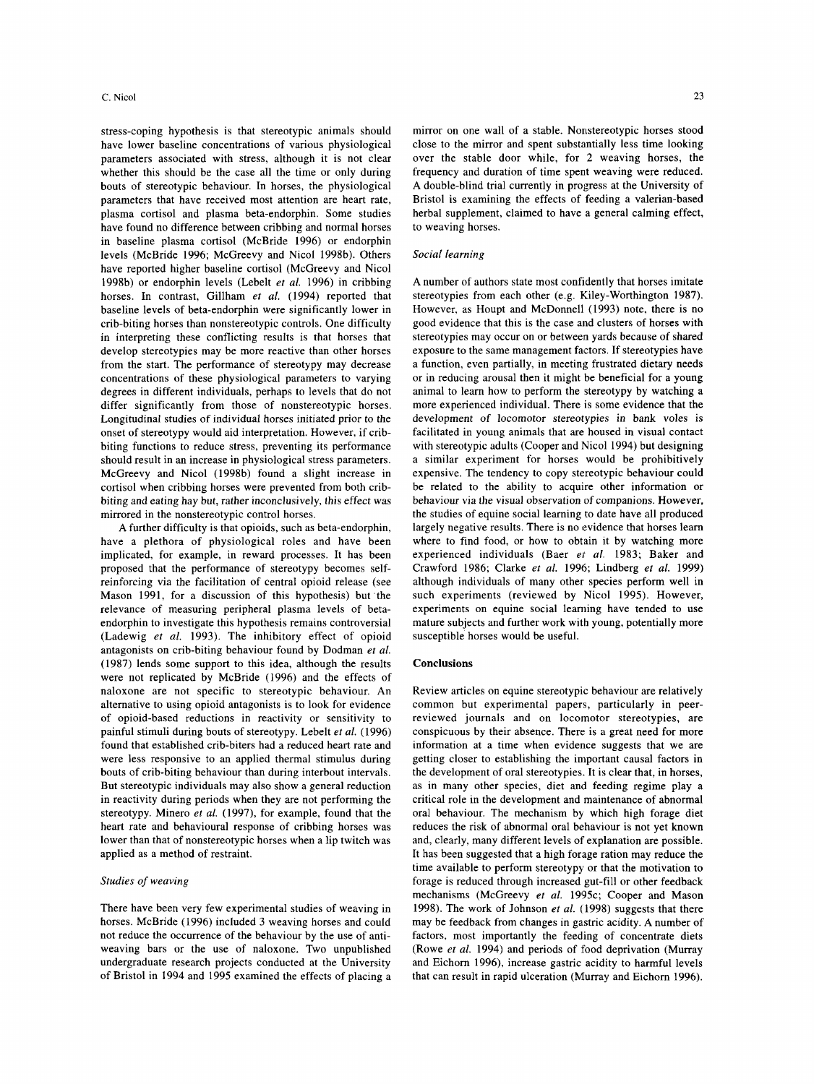stress-coping hypothesis is that stereotypic animals should have lower baseline concentrations of various physiological parameters associated with stress, although it is not clear whether this should be the case all the time or only during bouts of stereotypic behaviour. In horses, the physiological parameters that have received most attention are heart rate, plasma cortisol and plasma beta-endorphin. Some studies have found no difference between cribbing and normal horses in baseline plasma cortisol (McBride 1996) or endorphin levels (McBride 1996; McGreevy and Nicol 1998b). Others have reported higher baseline cortisol (McGreevy and Nicol 1998b) or endorphin levels (Lebelt *et al.* 1996) in cribbing horses. In contrast, Gillham *et al.* (1994) reported that baseline levels of beta-endorphin were significantly lower in crib-biting horses than nonstereotypic controls. One difficulty in interpreting these conflicting results is that horses that develop stereotypies may be more reactive than other horses from the start. The performance of stereotypy may decrease concentrations of these physiological parameters to varying degrees in different individuals, perhaps to levels that do not differ significantly from those of nonstereotypic horses. Longitudinal studies of individual horses initiated prior to the onset of stereotypy would aid interpretation. However, if cribbiting functions to reduce stress, preventing its performance should result in an increase in physiological stress parameters. McGreevy and Nicol (1998b) found **a** slight increase in cortisol when cribbing horses were prevented from both cribbiting and eating hay but, rather inconclusively, this effect was mirrored in the nonstereotypic control horses.

**A** further difficulty is that opioids, such **as** beta-endorphin, have **a** plethora of physiological roles and have been implicated, for example, in reward processes. It has been proposed that the performance of stereotypy becomes selfreinforcing via the facilitation of central opioid release (see Mason 1991, for **a** discussion of this hypothesis) but 'the relevance of measuring peripheral plasma levels of betaendorphin to investigate this hypothesis remains controversial (Ladewig *et al.* 1993). The inhibitory effect of opioid antagonists on crib-biting behaviour found by Dodman *et al.*  (1987) lends some support to this idea, although the results were not replicated by McBride (1996) and the effects of naloxone are not specific to stereotypic behaviour. **An**  alternative to using opioid antagonists is to look for evidence of opioid-based reductions in reactivity or sensitivity to painful stimuli during bouts of stereotypy. Lebelt *et al.* (1996) found that established crib-biters had **a** reduced heart rate and were less responsive to an applied thermal stimulus during bouts of crib-biting behaviour than during interbout intervals. But stereotypic individuals may also show **a** general reduction in reactivity during periods when they are not performing the stereotypy. Minero *et a/.* (1997), for example, found that the heart rate and behavioural response of cribbing horses was lower than that of nonstereotypic horses when **a** lip twitch was applied as **a** method of restraint.

### *Studies of weaving*

There have been very few experimental studies of weaving in horses. McBride (1996) included 3 weaving horses and could not reduce the occurrence of the behaviour by the use of antiweaving bars or the use of naloxone. Two unpublished undergraduate research projects conducted at the University of Bristol in 1994 and 1995 examined the effects of placing **a**  mirror on one wall of **a** stable. Nonstereotypic horses stood close to the mirror and spent substantially less time looking over the stable door while, for *2* weaving horses, the frequency and duration of time spent weaving were reduced. **A** double-blind trial currently in progress at the University of Bristol is examining the effects of feeding **a** valerian-based herbal supplement, claimed to have **a** general calming effect, to weaving horses.

## *Social learning*

**A** number of authors state most confidently that horses imitate stereotypies from each other (e.g. Kiley-Worthington 1987). However, **as** Houpt and McDonnell (1993) note, there is no good evidence that this is the case and clusters of horses with stereotypies may occur on or between yards because of shared exposure to the same management factors. If stereotypies have **a** function, even partially, in meeting frustrated dietary needs or in reducing arousal then it might be beneficial for **a** young animal to learn how to perform the stereotypy by watching **a**  more experienced individual. There is some evidence that the development of locomotor stereotypies in bank voles is facilitated in young animals that are housed in visual contact with stereotypic adults (Cooper and Nicol 1994) but designing **a** similar experiment for horses would be prohibitively expensive. The tendency to copy stereotypic behaviour could be related to the ability to acquire other information or behaviour via the visual observation of companions. However, the studies of equine social learning to date have all produced largely negative results. There is no evidence that horses learn where to find food, or how to obtain it by watching more experienced individuals (Baer *er' a/.* 1983; Baker and Crawford 1986; Clarke *et al.* 1996; Lindberg *et a/.* 1999) although individuals of many other species perform well in such experiments (reviewed by Nicol 1995). However, experiments on equine social learning have tended to use mature subjects and further work with young, potentially more susceptible horses would be useful.

## **Conclusions**

Review articles on equine stereotypic behaviour are relatively common but experimental papers, particularly in peerreviewed journals and on locomotor stereotypies, are conspicuous by their absence. There is **a** great need for more information at **a** time when evidence suggests that we are getting closer to establishing the important causal factors in the development of oral stereotypies. It is clear that, in horses, **as** in many other species, diet **and** feeding regime play **a**  critical role in the development and maintenance of abnormal oral behaviour. The mechanism by which high forage diet reduces the risk of abnormal oral behaviour is not yet known and, clearly, many different levels of explanation are possible. It has been suggested that **a** high forage ration may reduce the time available to perform stereotypy or that the motivation to forage is reduced through increased gut-fill or other feedback mechanisms (McGreevy et al. 1995c; Cooper and Mason 1998). The work of Johnson *et al.* (1998) suggests that there may be feedback from changes in gastric acidity. **A** number of factors, most importantly the feeding of concentrate diets (Rowe *et al.* 1994) and periods of food deprivation (Murray and Eichorn 1996), increase gastric acidity to harmful levels that can result in rapid ulceration (Murray and Eichorn 1996).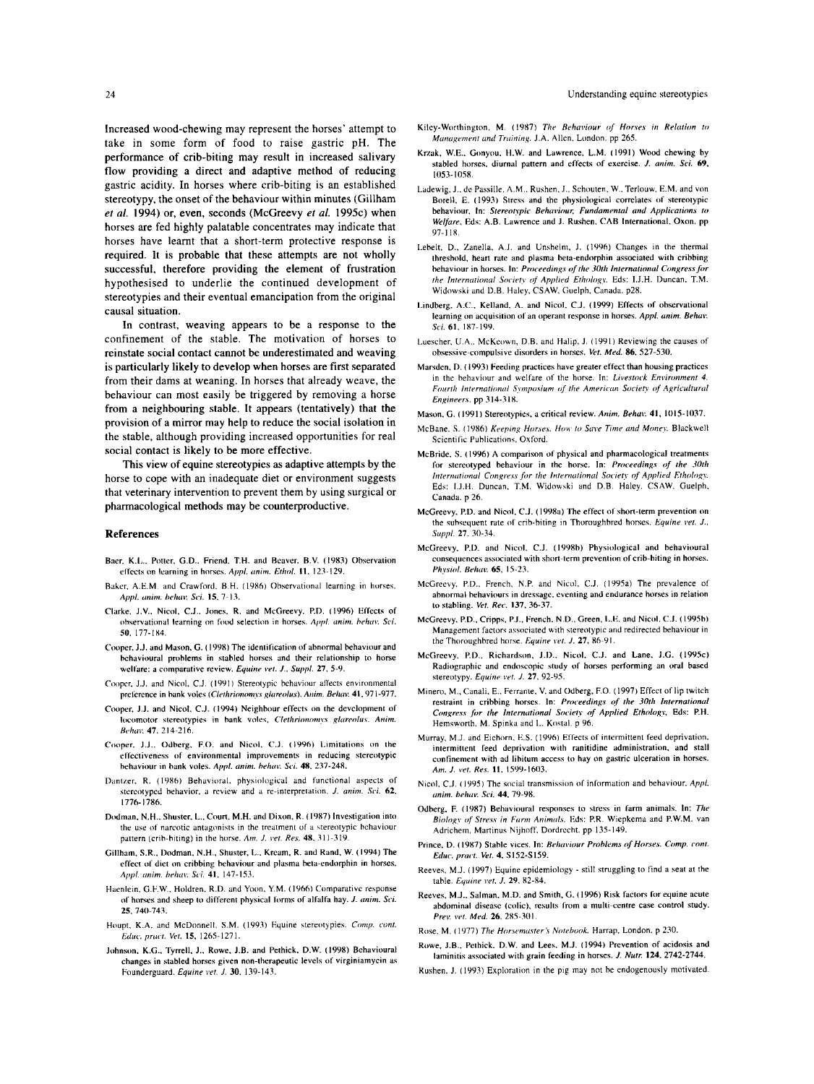Increased wood-chewing may represent the horses' attempt to take in some form of food to raise gastric pH. The performance of crib-biting may result in increased salivary flow providing a direct and adaptive method of reducing gastric acidity. In horses where crib-biting is an established stereotypy, the onset of the behaviour within minutes (Gillham et al. 1994) or, even, seconds (McGreevy et al. 1995c) when horses are fed highly palatable concentrates may indicate that horses have learnt that a short-term protective response is required. It is probable that these attempts are not wholly successful, therefore providing the element of frustration hypothesised to underlie the continued development of stereotypies and their eventual emancipation from the original

In contrast, weaving appears to be a response to the confinement of the stable. The motivation of horses to reinstate social contact cannot be underestimated and weaving is particularly likely to develop when horses are first separated from their dams at weaning. In horses that already weave, the behaviour can most easily be triggered by removing a horse from a neighbouring stable. It appears (tentatively) that the provision of a mirror may help to reduce the social isolation in the stable, although providing increased opportunities for real social contact is likely to be more effective.

This view of equine stereotypies as adaptive attempts by the horse to cope with an inadequate diet or environment suggests that veterinary intervention to prevent them by using surgical or pharmacological methods may be counterproductive.

#### **References**

causal situation.

- Baer. K.L. Potter. G.D.. Friend. T.H. and Beaver. B.V. **(19x3)** Observation ell'ects on learning in horses. *AppI. unim. Erhol.* **11.** 123- 129.
- Raker, A.E.M. and Crawford. B.H. (1986) Observational learning in horses. *Appl. imim. bchcll: Sci.* **15.** 7- **13.**
- Clarke. **J.V..** Nicol, C.J.. Jones. R. and McGreevy. P.D. **(1996)** Effects of observational learning on food selection in horses. *Appl. anim. behav. Sci. SO.* 177- **I** x4.
- Cooper, J.J. and Mason, G. (1998) The identification of abnormal behaviour and hehavioural problems in stahled horses and their relationship to horse welfare: a comparative review. *Equine vet. J., Suppl.* 27, 5-9.
- Cooper, J.J. and Nicol, C.J. (1991) Stereotypic behaviour affects environmental preference in bank voles *(Clethrionomys glareolus)*. *Anim. Behav.* 41, 971-977.
- Cooper. J.J. and Nicol. C.J. (1994) Neighhour effects on the development of locomotor stereotypies in bank voles. *Clethrionomys glareolus*. Anim. *Rc.hu1:* **47.** 2 14-2 16.
- Cooper. J.J.. Odherg. F.O. and Nicol. **C.J. (1996)** 1.imitations on the effectiveness **of** environmental improvements in reducing stereotypic hehaviour in hank voles. *Appl. mini. hehuv. Sci.* **48.** 237-248.
- Dantzer. R. (1986) Behavioral. physiological and functional aspects of stereotyped behavior, a review and a re-interpretation. *J. anim. Sci.* 62, 1776- 1786.
- Dodman, N.H.. Shuster. **I... Court, M.H.** and Dixon, R. (1987) Investigation into the use of narcotic antagonists in the treatment of a stereotypic behaviour pattern (crib-biting) in the horse. *Am. J. vet. Res.* 48, 311-319.
- Gillham. S.R.. Dodman. N.H.. Shuster, **L..** Kream. R. and Rand. W. (1994) The effect of diet on cribbing behaviour and plasma beta-endorphin in horses. *A/J/J/. Uilim.* **bt.hUl'.** *SC'i.* **41.** 147-153.
- Haenlein, G.F.W., Holdren, R.D. and Yoon, Y.M. (1966) Comparative response of horses and sheep to different physical forms of alfalfa hay. J. anim. Sci. *25.* 740-743.
- Houpt, K.A. and McDonnell, S.M. (1993) Equine stereotypies. *Comp. cont. Edirc. prwf.* Vet. **15. 1265-** 127 I .
- Johnson. K.G.. Tyrrell. J., Rowe. J.B. and Pethick, D.W. **(1998)** Behavioural changes in stabled horses given non-therapeutic levels of virginiamycin as Founderguard. *Equine rer. J.* **30, 139-** 143.
- Kiley-Worthington, M. (1987) The Behaviour of Horses in Relation to *Munagement and Training.* J.A. Allen, London. pp 265.
- **Krzak,** W.E.. Gonyou. H.W. and Lawrence. L.M. (1991) Wood chewing hy stabled horses. diurnal pattern and effects **of** exercise. *J. anim. Sci. 69.*  **1053- 1058.**
- Ladewig. J.. de Passille. A.M.. Rushen. J.. Schouten. W.. Terlouw. E.M. and von Borell, E. (1993) Stress and the physiological correlates of stereotypic hehaviour. In: *Stereotypic Behoviour. Fundamentul und Applications to Wclfure.* Eds: A.B. Lawrence and J. Rushen. CAB International. **Oxon.** pp **97-1 18**
- Lehelt. D., Zanella. A.J. and Unshelm, J. **(1996)** Changes in the thermal threshold. heart rate and plasma heta-endorphin associated with cribbing hehaviour in horses. In: *Proceedines of the 30th International Congress for the International Society of Applied Ethology*, Eds: I.J.H. Duncan, T.M. Widowski and D.B. Haley. CSAW. Guelph. Canada. p28.
- Lindherg. **A.C.** Kelland. **A.** and Nicol. C.J. **(1999)** Effects of ohservational learning on acquisition of an operant response in horses. *Appl. unim. Behuv. S(,i.* **61.** 1x7-199.
- Luescher. **U.A..** McKcown, D.B. and Halip. J. **(1991)** Reviewing the causes **of**  ohsessive-compulsive disorders in horses. *Vef. Med.* **86.** 527-530.
- Marsdcn. D. ( **1993)** Feeding practices have greater effect than housing practices in the behaviour and welfare of the horse. In: *Livestock Environment 4*. *Fourth lnternutioiiul .Swipo.sium of tlw Amuif.nn* Society **of** *Agriculrurul Engineer.\.* pp 314-318.
- Mason, G. **(1991)** Stereotypies. a critical review. *him. Behul:* **41,** 1015-1037.
- McBane, S. (1986) Keeping Horses, How to Save Time and Money. Blackwell Scientific Publications, Oxford.
- McBride. **S.** ( **1996) A** comparison **of** physical and pharmacological treatments For stereotyped hehaviour in the horse. In: Proceedings **of** *the 30th International Congress for the International Society of Applied Ethology.* Eds: I.J.H. Duncan, T.M. Widowski and D.B. Haley. CSAW. Guelph. Canada. p 26.
- McGreevy. **P.D.** and Nicol, C.J. **(IY98a)** The effect of short-term prevention on the subsequent rate of crib-biting in Thoroughbred horses. *Equine vet. J.*, *.Sup/)/.* 27. 30-34.
- McGreevy. **P.1).** and Nicol. C.J. ( 1998h) Physiological and hehavioural consequences associated with short-term prevention of crih-hiting in horses. *Physiol. Behav.* **65**, 15-23.
- McGrecvy. P.D.. French. N.P. and Nicol. C.J. **(199Sa)** The prevalence of abnormal behaviours in dressage, eventing and endurance horses in relation **to** stahling. Vet. *Rec.* **137,** 36-37.
- McGreevy, P.D., Cripps, P.J., French. N.D., Green, L.E. and Nicol, C.J. (1995b) Management factors associated with stereotypic and redirected behaviour in the Thoroughhred horse. *Equine wt. J. 27,* 86-91,
- McGreevy. P.D., Richardson, J.11.. Nicol. C.J. and Lane, J.G. **(I9YSc)**  Radiographic and endoscopic study of horses performing an oral **hased**  stereotypy. *€quint, vet.* J. **27. 02-95.**
- Minero, M., Canali, E., Ferrante, V. and Odberg, F.O. (1997) Effect of lip twitch restraint in crihhing horses. In: *Proceedings of the 3Ofh Internutinnal Qm,qrc,.s.s .f.r the Inferncitlmul Socid.v* **of** *Applied EtholoRy,* Eds: P.H. Hemsworth. M. Spinka and L. Kostal. p 96.
- Murray, M.J. and Eichorn, E.S. (1996) Effects of intermittent feed deprivation. intermittent feed deprivation with ranitidine administration, and stall confinement with ad lihitum access **10** hay on gastric ulceration in horses. *Am.* J. *vet. Res.* **II. 1599-1603.**
- Nicol, C.J. (1995) The social transmission of information and behaviour. *Appl. anim. behov. Sci.* **44,** 79-98.
- Odherg. F. (19x7) Behavioural responses **to** stress in larm animals. In: The *Biology of Stress in Furm Animals*, Eds: P.R. Wiepkema and P.W.M. van Adrichem, Martinus Nijhoff, Dordrccht. pp 135-149.
- Prince, D. (1987) Stable vices. In: *Behaviour Problems of Horses. Comp. cont. Ediic. prucr. Vef.* **4. S 1524 159.**
- Reeves, M.J. **(1997)** Equine epidemiology still struggling **to** find a seat at the table. *Equine vet. J.* 29, 82-84.
- Reeves. M.J.. Salman. M.D. and Smith, *G.* ( 1996) Risk factors for equine acute abdominal diseasc (colic), results from a multi-centre case control study. *Preb\*, wf. Med. 26.* 285-301
- Rose. M. (1977) *The Horsemaster's Notebook*. *Harrap*, London. p 230.

Rowe, J.B.. Pethick. D.W. and Lees. M.J. (1994) Prevention of acidosis and laminitis associated with grain feeding in horses. *J. Nufr.* **124.** 2742-2744.

Rushen. J. (1993) Exploration in the pig may not be endogenously motivated.